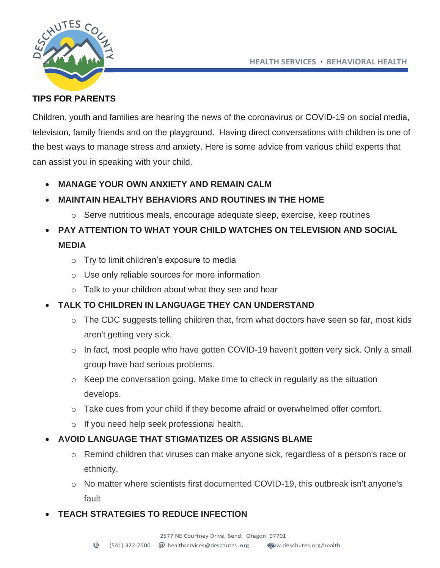**HEALTH SERVICES · BEHAVIORAL HEALTH**



#### **TIPS FOR PARENTS**

Children, youth and families are hearing the news of the coronavirus or COVID-19 on social media, television, family friends and on the playground. Having direct conversations with children is one of the best ways to manage stress and anxiety. Here is some advice from various child experts that can assist you in speaking with your child.

• **MANAGE YOUR OWN ANXIETY AND REMAIN CALM**

### • **MAINTAIN HEALTHY BEHAVIORS AND ROUTINES IN THE HOME**

 $\circ$  Serve nutritious meals, encourage adequate sleep, exercise, keep routines

# • **PAY ATTENTION TO WHAT YOUR CHILD WATCHES ON TELEVISION AND SOCIAL MEDIA**

- o Try to limit children's exposure to media
- o Use only reliable sources for more information
- o Talk to your children about what they see and hear

### • **TALK TO CHILDREN IN LANGUAGE THEY CAN UNDERSTAND**

- $\circ$  The CDC suggests telling children that, from what doctors have seen so far, most kids aren't getting very sick.
- o In fact, most people who have gotten COVID-19 haven't gotten very sick. Only a small group have had serious problems.
- $\circ$  Keep the conversation going. Make time to check in regularly as the situation develops.
- o Take cues from your child if they become afraid or overwhelmed offer comfort.
- o If you need help seek professional health.
- **AVOID LANGUAGE THAT STIGMATIZES OR ASSIGNS BLAME**
	- $\circ$  Remind children that viruses can make anyone sick, regardless of a person's race or ethnicity.
	- o No matter where scientists first documented COVID-19, this outbreak isn't anyone's fault
- **TEACH STRATEGIES TO REDUCE INFECTION**